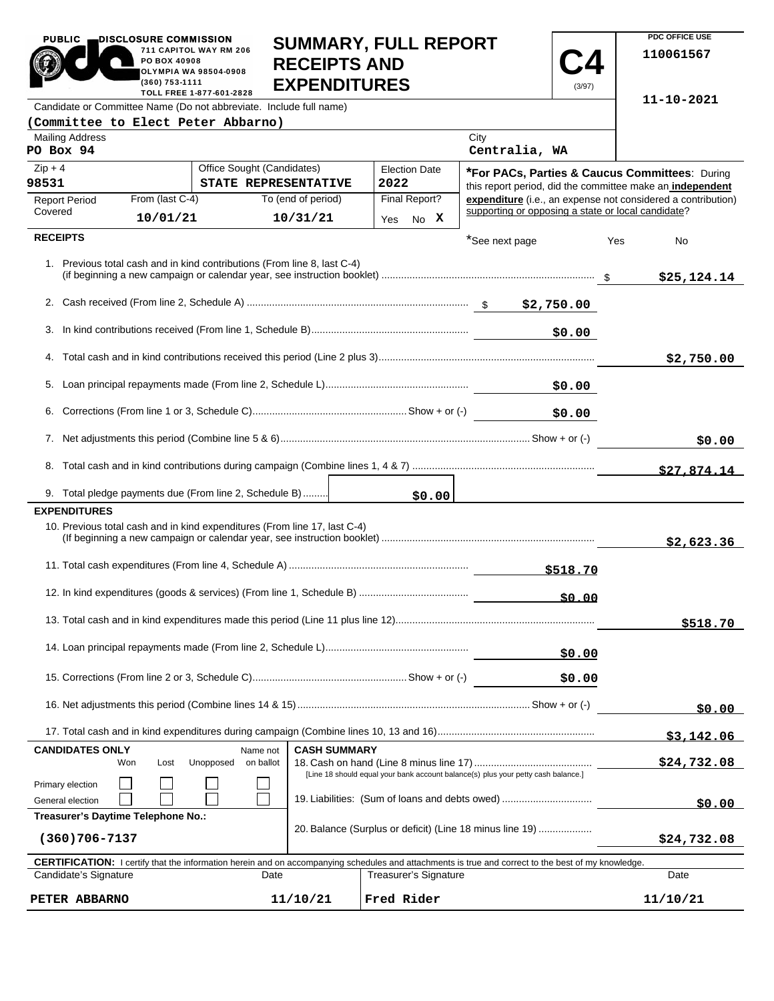| <b>PUBLIC</b>                                                                                                                                                               | DISCLOSURE COMMISSION                                                                                                           |                                                                           | <b>SUMMARY, FULL REPORT</b> |                                                |               |                                                                                                                           |             |            | PDC OFFICE USE    |
|-----------------------------------------------------------------------------------------------------------------------------------------------------------------------------|---------------------------------------------------------------------------------------------------------------------------------|---------------------------------------------------------------------------|-----------------------------|------------------------------------------------|---------------|---------------------------------------------------------------------------------------------------------------------------|-------------|------------|-------------------|
|                                                                                                                                                                             | PO BOX 40908<br>(360) 753-1111                                                                                                  | 711 CAPITOL WAY RM 206<br>OLYMPIA WA 98504-0908                           | <b>RECEIPTS AND</b>         |                                                |               |                                                                                                                           |             |            | 110061567         |
|                                                                                                                                                                             | <b>EXPENDITURES</b><br>(3/97)<br>TOLL FREE 1-877-601-2828<br>Candidate or Committee Name (Do not abbreviate. Include full name) |                                                                           |                             |                                                |               |                                                                                                                           |             | 11-10-2021 |                   |
| (Committee to Elect Peter Abbarno)                                                                                                                                          |                                                                                                                                 |                                                                           |                             |                                                |               |                                                                                                                           |             |            |                   |
| <b>Mailing Address</b>                                                                                                                                                      |                                                                                                                                 |                                                                           |                             |                                                |               | City                                                                                                                      |             |            |                   |
| PO Box 94                                                                                                                                                                   |                                                                                                                                 |                                                                           |                             |                                                |               | Centralia, WA                                                                                                             |             |            |                   |
| $Zip + 4$<br>Office Sought (Candidates)<br><b>Election Date</b>                                                                                                             |                                                                                                                                 |                                                                           |                             | *For PACs, Parties & Caucus Committees: During |               |                                                                                                                           |             |            |                   |
| 98531<br><b>Report Period</b>                                                                                                                                               | From (last C-4)                                                                                                                 | STATE REPRESENTATIVE                                                      | To (end of period)          | 2022                                           | Final Report? | this report period, did the committee make an independent<br>expenditure (i.e., an expense not considered a contribution) |             |            |                   |
| Covered                                                                                                                                                                     | 10/01/21                                                                                                                        |                                                                           | 10/31/21                    | Yes                                            | No X          | supporting or opposing a state or local candidate?                                                                        |             |            |                   |
| <b>RECEIPTS</b>                                                                                                                                                             |                                                                                                                                 |                                                                           |                             |                                                |               |                                                                                                                           |             |            |                   |
|                                                                                                                                                                             |                                                                                                                                 | 1. Previous total cash and in kind contributions (From line 8, last C-4)  |                             |                                                |               | *See next page                                                                                                            |             | Yes        | No<br>\$25,124.14 |
|                                                                                                                                                                             |                                                                                                                                 |                                                                           |                             |                                                |               |                                                                                                                           |             |            |                   |
|                                                                                                                                                                             |                                                                                                                                 |                                                                           |                             |                                                |               |                                                                                                                           |             |            |                   |
| 3.                                                                                                                                                                          |                                                                                                                                 |                                                                           |                             |                                                |               |                                                                                                                           | \$0.00      |            |                   |
|                                                                                                                                                                             |                                                                                                                                 |                                                                           |                             |                                                |               |                                                                                                                           |             |            |                   |
|                                                                                                                                                                             |                                                                                                                                 |                                                                           |                             |                                                |               |                                                                                                                           |             |            | \$2,750.00        |
| 5.                                                                                                                                                                          |                                                                                                                                 |                                                                           |                             |                                                |               |                                                                                                                           | \$0.00      |            |                   |
| 6.<br>\$0.00                                                                                                                                                                |                                                                                                                                 |                                                                           |                             |                                                |               |                                                                                                                           |             |            |                   |
| 7.                                                                                                                                                                          |                                                                                                                                 |                                                                           |                             |                                                |               |                                                                                                                           | \$0.00      |            |                   |
|                                                                                                                                                                             |                                                                                                                                 |                                                                           |                             |                                                |               |                                                                                                                           |             |            |                   |
|                                                                                                                                                                             |                                                                                                                                 |                                                                           |                             |                                                |               |                                                                                                                           |             |            | \$27,874.14       |
|                                                                                                                                                                             |                                                                                                                                 | 9. Total pledge payments due (From line 2, Schedule B)                    |                             |                                                | \$0.00        |                                                                                                                           |             |            |                   |
| <b>EXPENDITURES</b>                                                                                                                                                         |                                                                                                                                 |                                                                           |                             |                                                |               |                                                                                                                           |             |            |                   |
|                                                                                                                                                                             |                                                                                                                                 | 10. Previous total cash and in kind expenditures (From line 17, last C-4) |                             |                                                |               |                                                                                                                           |             |            | \$2,623.36        |
|                                                                                                                                                                             |                                                                                                                                 |                                                                           |                             |                                                |               |                                                                                                                           |             |            |                   |
|                                                                                                                                                                             |                                                                                                                                 |                                                                           |                             |                                                |               |                                                                                                                           |             |            |                   |
|                                                                                                                                                                             |                                                                                                                                 |                                                                           |                             |                                                |               |                                                                                                                           |             |            | \$518.70          |
|                                                                                                                                                                             |                                                                                                                                 |                                                                           |                             |                                                |               |                                                                                                                           |             |            |                   |
|                                                                                                                                                                             |                                                                                                                                 |                                                                           |                             |                                                |               |                                                                                                                           | \$0.00      |            |                   |
|                                                                                                                                                                             |                                                                                                                                 |                                                                           |                             |                                                |               | \$0.00                                                                                                                    |             |            |                   |
|                                                                                                                                                                             |                                                                                                                                 |                                                                           |                             |                                                |               |                                                                                                                           | \$0.00      |            |                   |
|                                                                                                                                                                             |                                                                                                                                 |                                                                           |                             |                                                |               |                                                                                                                           |             |            |                   |
| <b>CANDIDATES ONLY</b>                                                                                                                                                      |                                                                                                                                 | Name not                                                                  | <b>CASH SUMMARY</b>         |                                                |               |                                                                                                                           |             |            | \$3,142.06        |
|                                                                                                                                                                             | Won<br>Lost                                                                                                                     | Unopposed<br>on ballot                                                    |                             |                                                |               |                                                                                                                           |             |            | \$24,732.08       |
| [Line 18 should equal your bank account balance(s) plus your petty cash balance.]<br>Primary election<br>19. Liabilities: (Sum of loans and debts owed)<br>General election |                                                                                                                                 |                                                                           |                             |                                                |               | \$0.00                                                                                                                    |             |            |                   |
| Treasurer's Daytime Telephone No.:                                                                                                                                          |                                                                                                                                 |                                                                           |                             |                                                |               |                                                                                                                           |             |            |                   |
| 20. Balance (Surplus or deficit) (Line 18 minus line 19)<br>$(360)706 - 7137$                                                                                               |                                                                                                                                 |                                                                           |                             |                                                |               |                                                                                                                           | \$24,732.08 |            |                   |
| CERTIFICATION: I certify that the information herein and on accompanying schedules and attachments is true and correct to the best of my knowledge.                         |                                                                                                                                 |                                                                           |                             |                                                |               |                                                                                                                           |             |            |                   |
| Candidate's Signature<br>Treasurer's Signature<br>Date                                                                                                                      |                                                                                                                                 |                                                                           |                             |                                                |               |                                                                                                                           | Date        |            |                   |
|                                                                                                                                                                             | 11/10/21<br>Fred Rider<br>PETER ABBARNO                                                                                         |                                                                           |                             |                                                |               |                                                                                                                           |             | 11/10/21   |                   |